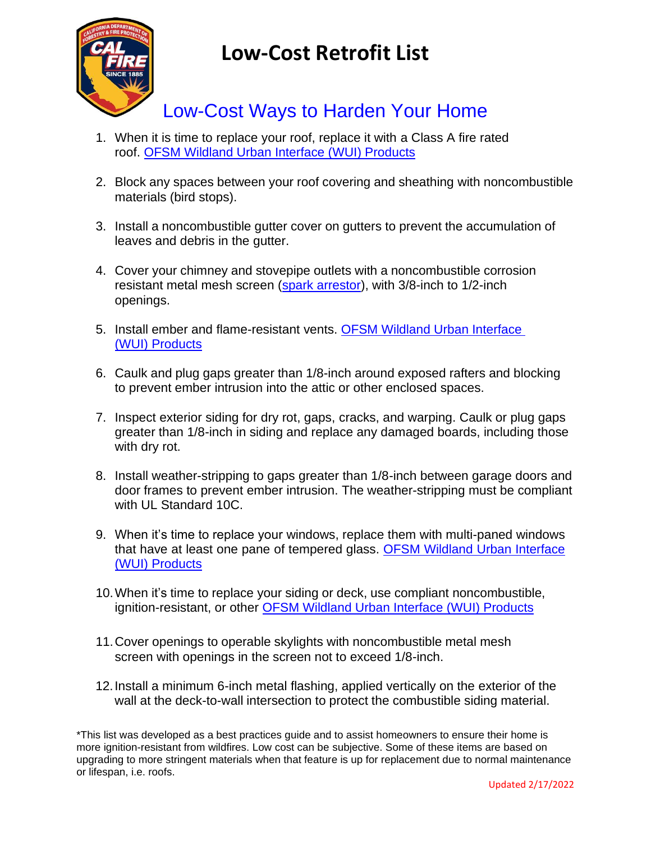

## **Low-Cost Retrofit List**

## Low-Cost Ways to Harden Your Home

- 1. When it is time to replace your roof, replace it with a Class A fire rated roof. [OFSM Wildland Urban Interface \(WUI\) Products](https://osfm.fire.ca.gov/media/5e4drz1r/2021-sfm-wui-listed-products-handbook-12-14-2021.pdf)
- 2. Block any spaces between your roof covering and sheathing with noncombustible materials (bird stops).
- 3. Install a noncombustible gutter cover on gutters to prevent the accumulation of leaves and debris in the gutter.
- 4. Cover your chimney and stovepipe outlets with a noncombustible corrosion resistant metal mesh screen (spark [arrestor\)](https://govt.westlaw.com/calregs/Document/I70D8EA3025E411E089088B03F1E6C213?viewType=FullText&originationContext=documenttoc&transitionType=CategoryPageItem&contextData=(sc.Default)), with 3/8-inch to 1/2-inch openings.
- 5. Install ember and flame-resistant vents. [OFSM Wildland Urban Interface](https://osfm.fire.ca.gov/media/5e4drz1r/2021-sfm-wui-listed-products-handbook-12-14-2021.pdf)  [\(WUI\) Products](https://osfm.fire.ca.gov/media/5e4drz1r/2021-sfm-wui-listed-products-handbook-12-14-2021.pdf)
- 6. Caulk and plug gaps greater than 1/8-inch around exposed rafters and blocking to prevent ember intrusion into the attic or other enclosed spaces.
- 7. Inspect exterior siding for dry rot, gaps, cracks, and warping. Caulk or plug gaps greater than 1/8-inch in siding and replace any damaged boards, including those with dry rot.
- 8. Install weather-stripping to gaps greater than 1/8-inch between garage doors and door frames to prevent ember intrusion. The weather-stripping must be compliant with UL Standard 10C.
- 9. When it's time to replace your windows, replace them with multi-paned windows that have at least one pane of tempered glass. [OFSM Wildland Urban Interface](https://osfm.fire.ca.gov/media/5e4drz1r/2021-sfm-wui-listed-products-handbook-12-14-2021.pdf)  [\(WUI\) Products](https://osfm.fire.ca.gov/media/5e4drz1r/2021-sfm-wui-listed-products-handbook-12-14-2021.pdf)
- 10.When it's time to replace your siding or deck, use compliant noncombustible, ignition-resistant, or other [OFSM Wildland Urban Interface \(WUI\) Products](https://osfm.fire.ca.gov/media/5e4drz1r/2021-sfm-wui-listed-products-handbook-12-14-2021.pdf)
- 11.Cover openings to operable skylights with noncombustible metal mesh screen with openings in the screen not to exceed 1/8-inch.
- 12.Install a minimum 6-inch metal flashing, applied vertically on the exterior of the wall at the deck-to-wall intersection to protect the combustible siding material.

\*This list was developed as a best practices guide and to assist homeowners to ensure their home is more ignition-resistant from wildfires. Low cost can be subjective. Some of these items are based on upgrading to more stringent materials when that feature is up for replacement due to normal maintenance or lifespan, i.e. roofs.